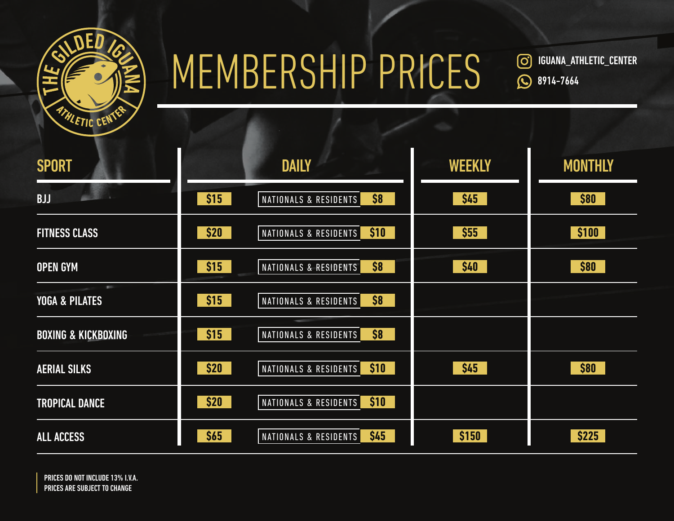

## MEMBERSHIP PRICES

 IGUANA\_ATHLETIC\_CENTER  $\circledcirc$ **8914-7664** 

| <b>SPORT</b>                   |      | <b>DAILY</b>                  | <b>WEEKLY</b> | <b>MONTHLY</b> |
|--------------------------------|------|-------------------------------|---------------|----------------|
| <b>BJJ</b>                     | \$15 | \$8<br>NATIONALS & RESIDENTS  | \$45          | \$80           |
| <b>FITNESS CLASS</b>           | \$20 | \$10<br>NATIONALS & RESIDENTS | \$55          | \$100          |
| <b>OPEN GYM</b>                | \$15 | \$8<br>NATIONALS & RESIDENTS  | \$40          | \$80           |
| <b>YOGA &amp; PILATES</b>      | \$15 | \$8<br>NATIONALS & RESIDENTS  |               |                |
| <b>BOXING &amp; KICKBOXING</b> | \$15 | \$8<br>NATIONALS & RESIDENTS  |               |                |
| <b>AERIAL SILKS</b>            | \$20 | \$10<br>NATIONALS & RESIDENTS | \$45          | \$80           |
| <b>TROPICAL DANCE</b>          | \$20 | \$10<br>NATIONALS & RESIDENTS |               |                |
| <b>ALL ACCESS</b>              | \$65 | \$45<br>NATIONALS & RESIDENTS | \$150         | \$225          |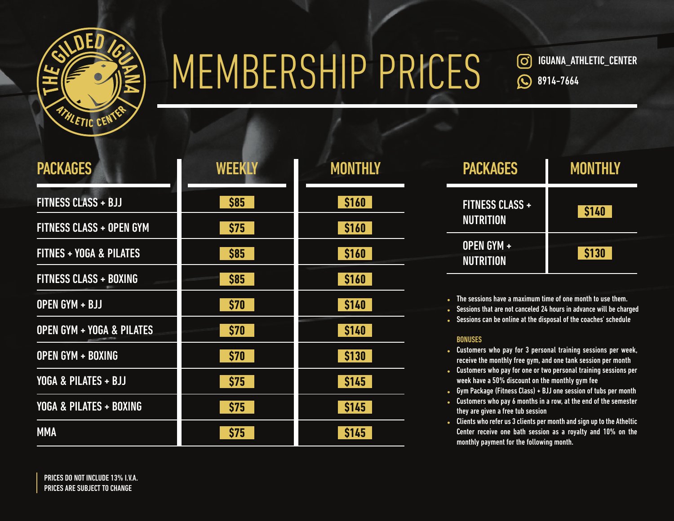

### MEMBERSHIP PRICES

 IGUANA\_ATHLETIC\_CENTER (ဝ) **Q** 8914-7664

| <b>PACKAGES</b>                      | <b>WEEKLY</b> | <b>MONTHLY</b> |
|--------------------------------------|---------------|----------------|
| <b>FITNESS CLASS + BJJ</b>           | \$85          | \$160          |
| <b>FITNESS CLASS + OPEN GYM</b>      | \$75          | \$160          |
| <b>FITNES + YOGA &amp; PILATES</b>   | \$85          | \$160          |
| <b>FITNESS CLASS + BOXING</b>        | <b>\$85</b>   | \$160          |
| OPEN GYM + BJJ                       | \$70          | \$140          |
| <b>OPEN GYM + YOGA &amp; PILATES</b> | \$70          | \$140          |
| <b>OPEN GYM + BOXING</b>             | \$70          | <b>\$130</b>   |
| YOGA & PILATES + BJJ                 | \$75          | \$145          |
| YOGA & PILATES + BOXING              | \$75          | <b>\$145</b>   |
| <b>MMA</b>                           | \$75          | <b>\$145</b>   |

| <b>PACKAGES</b>                            | MONTHLY |
|--------------------------------------------|---------|
| <b>FITNESS CLASS +</b><br><b>NUTRITION</b> | \$140   |
| OPEN GYM +<br><b>NUTRITION</b>             | \$130   |

• The sessions have a maximum time of one month to use them.

- Sessions that are not canceled 24 hours in advance will be charged
- Sessions can be online at the disposal of the coaches' schedule

### BONUSES

- Customers who pay for 3 personal training sessions per week, receive the monthly free gym, and one tank session per month
- Customers who pay for one or two personal training sessions per week have a 50% discount on the monthly gym fee
- Gym Package (Fitness Class) + BJJ one session of tubs per month
- Customers who pay 6 months in a row, at the end of the semester they are given a free tub session
- Clients who refer us 3 clients per month and sign up to the Atheltic Center receive one bath session as a royalty and 10% on the monthly payment for the following month.